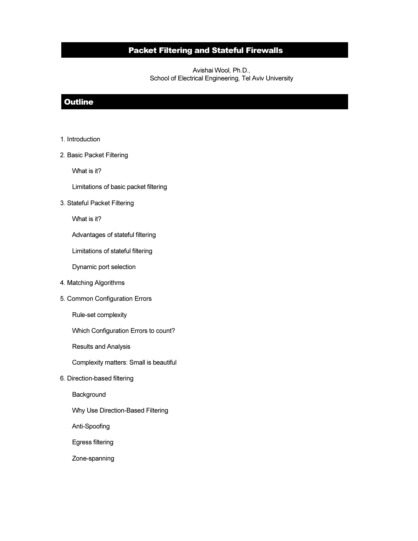# Packet Filtering and Stateful Firewalls

## Avishai Wool, Ph.D., School of Electrical Engineering, Tel Aviv University

# **Outline**

- 1. Introduction
- 2. Basic Packet Filtering

What is it?

Limitations of basic packet filtering

3. Stateful Packet Filtering

What is it?

Advantages of stateful filtering

Limitations of stateful filtering

Dynamic port selection

- 4. Matching Algorithms
- 5. Common Configuration Errors

Rule-set complexity

Which Configuration Errors to count?

Results and Analysis

Complexity matters: Small is beautiful

6. Direction-based filtering

**Background** 

Why Use Direction-Based Filtering

Anti-Spoofing

Egress filtering

Zone-spanning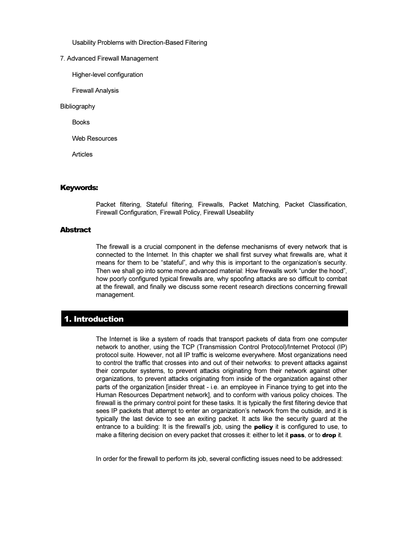Usability Problems with Direction-Based Filtering

7. Advanced Firewall Management

Higher-level configuration

Firewall Analysis

Bibliography

Books

**Web Resources** 

**Articles** 

### Keywords:

Packet filtering, Stateful filtering, Firewalls, Packet Matching, Packet Classification, Firewall Configuration, Firewall Policy, Firewall Useability

# **Abstract**

The firewall is a crucial component in the defense mechanisms of every network that is connected to the Internet. In this chapter we shall first survey what firewalls are, what it means for them to be "stateful", and why this is important to the organization's security. Then we shall go into some more advanced material: How firewalls work "under the hood", how poorly configured typical firewalls are, why spoofing attacks are so difficult to combat at the firewall, and finally we discuss some recent research directions concerning firewall management.

## 1. Introduction

The Internet is like a system of roads that transport packets of data from one computer network to another, using the TCP (Transmission Control Protocol)/Internet Protocol (IP) protocol suite. However, not all IP traffic is welcome everywhere. Most organizations need to control the traffic that crosses into and out of their networks: to prevent attacks against their computer systems, to prevent attacks originating from their network against other organizations, to prevent attacks originating from inside of the organization against other parts of the organization [insider threat - i.e. an employee in Finance trying to get into the Human Resources Department network], and to conform with various policy choices. The firewall is the primary control point for these tasks. It is typically the first filtering device that sees IP packets that attempt to enter an organization's network from the outside, and it is typically the last device to see an exiting packet. It acts like the security guard at the entrance to a building: It is the firewall's job, using the **policy** it is configured to use, to make a filtering decision on every packet that crosses it: either to let it pass, or to drop it.

In order for the firewall to perform its job, several conflicting issues need to be addressed: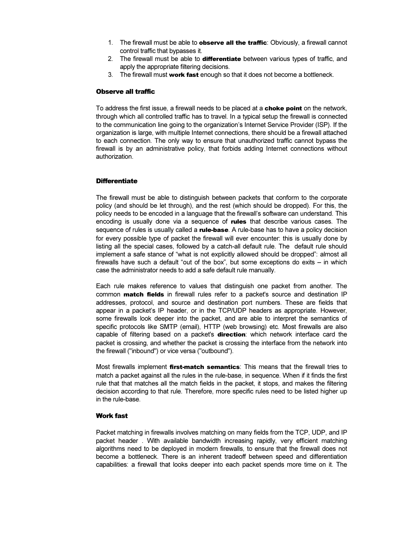- 1. The firewall must be able to **observe all the traffic**: Obviously, a firewall cannot control traffic that bypasses it.
- 2. The firewall must be able to **differentiate** between various types of traffic, and apply the appropriate filtering decisions.
- 3. The firewall must work fast enough so that it does not become a bottleneck.

### Observe all traffic

To address the first issue, a firewall needs to be placed at a **choke point** on the network, through which all controlled traffic has to travel. In a typical setup the firewall is connected to the communication line going to the organization's Internet Service Provider (ISP). If the organization is large, with multiple Internet connections, there should be a firewall attached to each connection. The only way to ensure that unauthorized traffic cannot bypass the firewall is by an administrative policy, that forbids adding Internet connections without authorization.

### **Differentiate**

The firewall must be able to distinguish between packets that conform to the corporate policy (and should be let through), and the rest (which should be dropped). For this, the policy needs to be encoded in a language that the firewall's software can understand. This encoding is usually done via a sequence of **rules** that describe various cases. The sequence of rules is usually called a rule-base. A rule-base has to have a policy decision for every possible type of packet the firewall will ever encounter: this is usually done by listing all the special cases, followed by a catch-all default rule. The default rule should implement a safe stance of "what is not explicitly allowed should be dropped": almost all firewalls have such a default "out of the box", but some exceptions do exits  $-$  in which case the administrator needs to add a safe default rule manually.

Each rule makes reference to values that distinguish one packet from another. The common match fields in firewall rules refer to a packet's source and destination IP addresses, protocol, and source and destination port numbers. These are fields that appear in a packet's IP header, or in the TCP/UDP headers as appropriate. However, some firewalls look deeper into the packet, and are able to interpret the semantics of specific protocols like SMTP (email), HTTP (web browsing) etc. Most firewalls are also capable of filtering based on a packet's **direction**: which network interface card the packet is crossing, and whether the packet is crossing the interface from the network into the firewall ("inbound") or vice versa ("outbound").

Most firewalls implement first-match semantics: This means that the firewall tries to match a packet against all the rules in the rule-base, in sequence. When if it finds the first rule that that matches all the match fields in the packet, it stops, and makes the filtering decision according to that rule. Therefore, more specific rules need to be listed higher up in the rule-base.

### Work fast

Packet matching in firewalls involves matching on many fields from the TCP, UDP, and IP packet header . With available bandwidth increasing rapidly, very efficient matching algorithms need to be deployed in modern firewalls, to ensure that the firewall does not become a bottleneck. There is an inherent tradeoff between speed and differentiation capabilities: a firewall that looks deeper into each packet spends more time on it. The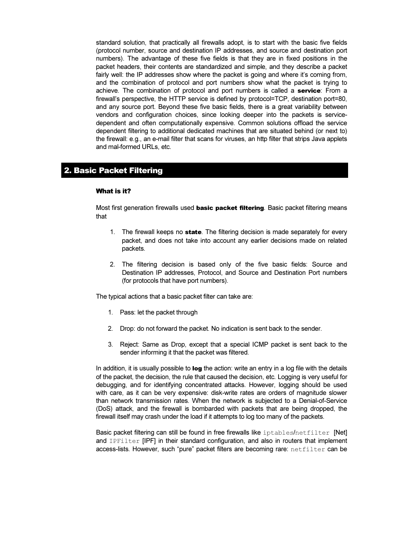standard solution, that practically all firewalls adopt, is to start with the basic five fields (protocol number, source and destination IP addresses, and source and destination port numbers). The advantage of these five fields is that they are in fixed positions in the packet headers, their contents are standardized and simple, and they describe a packet fairly well: the IP addresses show where the packet is going and where it's coming from, and the combination of protocol and port numbers show what the packet is trying to achieve. The combination of protocol and port numbers is called a service: From a firewall's perspective, the HTTP service is defined by protocol=TCP, destination port=80, and any source port. Beyond these five basic fields, there is a great variability between vendors and configuration choices, since looking deeper into the packets is servicedependent and often computationally expensive. Common solutions offload the service dependent filtering to additional dedicated machines that are situated behind (or next to) the firewall: e. g. , an e-mail filter that scans for viruses, an http filter that strips Java applets and mal-formed URLs, etc.

# 2. Basic Packet Filtering

### What is it?

Most first generation firewalls used **basic packet filtering**. Basic packet filtering means that

- 1. The firewall keeps no **state**. The filtering decision is made separately for every packet, and does not take into account any earlier decisions made on related packets.
- 2. The filtering decision is based only of the five basic fields: Source and Destination IP addresses, Protocol, and Source and Destination Port numbers (for protocols that have port numbers).

The typical actions that a basic packet filter can take are:

- 1. Pass: let the packet through
- 2. Drop: do not forward the packet. No indication is sent back to the sender.
- 3. Reject: Same as Drop, except that a special ICMP packet is sent back to the sender informing it that the packet was filtered.

In addition, it is usually possible to log the action: write an entry in a log file with the details of the packet, the decision, the rule that caused the decision, etc. Logging is very useful for debugging, and for identifying concentrated attacks. However, logging should be used with care, as it can be very expensive: disk-write rates are orders of magnitude slower than network transmission rates. When the network is subjected to a Denial-of-Service (DoS) attack, and the firewall is bombarded with packets that are being dropped, the firewall itself may crash under the load if it attempts to log too many of the packets.

Basic packet filtering can still be found in free firewalls like iptables/netfilter [Net] and IPFilter [IPF] in their standard configuration, and also in routers that implement access-lists. However, such "pure" packet filters are becoming rare: netfilter can be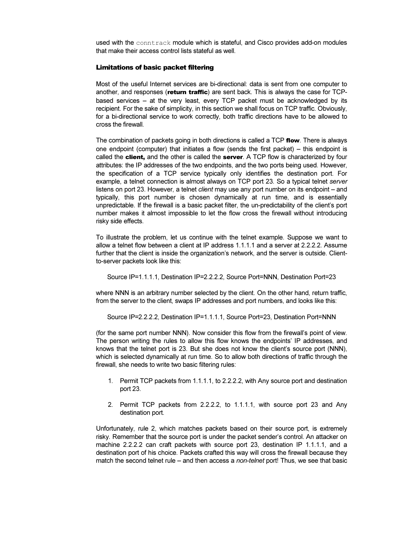used with the conntrack module which is stateful, and Cisco provides add-on modules that make their access control lists stateful as well.

### Limitations of basic packet filtering

Most of the useful Internet services are bi-directional: data is sent from one computer to another, and responses (return traffic) are sent back. This is always the case for TCPbased services  $-$  at the very least, every TCP packet must be acknowledged by its recipient. For the sake of simplicity, in this section we shall focus on TCP traffic. Obviously, for a bi-directional service to work correctly, both traffic directions have to be allowed to cross the firewall.

The combination of packets going in both directions is called a TCP flow. There is always one endpoint (computer) that initiates a flow (sends the first packet) – this endpoint is called the client, and the other is called the server. A TCP flow is characterized by four attributes: the IP addresses of the two endpoints, and the two ports being used. However, the specification of a TCP service typically only identifies the destination port. For example, a telnet connection is almost always on TCP port 23. So a typical telnet server listens on port 23. However, a telnet *client* may use any port number on its endpoint – and typically, this port number is chosen dynamically at run time, and is essentially unpredictable. If the firewall is a basic packet filter, the un-predictability of the client's port number makes it almost impossible to let the flow cross the firewall without introducing risky side effects.

To illustrate the problem, let us continue with the telnet example. Suppose we want to allow a telnet flow between a client at IP address 1.1.1.1 and a server at 2.2.2.2. Assume further that the client is inside the organization's network, and the server is outside. Clientto-server packets look like this:

Source IP=1.1.1.1, Destination IP=2.2.2.2, Source Port=NNN, Destination Port=23

where NNN is an arbitrary number selected by the client. On the other hand, return traffic, from the server to the client, swaps IP addresses and port numbers, and looks like this:

Source IP=2.2.2.2, Destination IP=1.1.1.1, Source Port=23, Destination Port=NNN

(for the same port number NNN). Now consider this flow from the firewall's point of view. The person writing the rules to allow this flow knows the endpoints' IP addresses, and knows that the telnet port is 23. But she does not know the client's source port (NNN), which is selected dynamically at run time. So to allow both directions of traffic through the firewall, she needs to write two basic filtering rules:

- 1. Permit TCP packets from 1.1.1.1, to 2.2.2.2, with Any source port and destination port 23.
- 2. Permit TCP packets from 2.2.2.2, to 1.1.1.1, with source port 23 and Any destination port.

Unfortunately, rule 2, which matches packets based on their source port, is extremely risky. Remember that the source port is under the packet sender's control. An attacker on machine 2.2.2.2 can craft packets with source port 23, destination IP 1.1.1.1, and a destination port of his choice. Packets crafted this way will cross the firewall because they match the second telnet rule – and then access a non-telnet port! Thus, we see that basic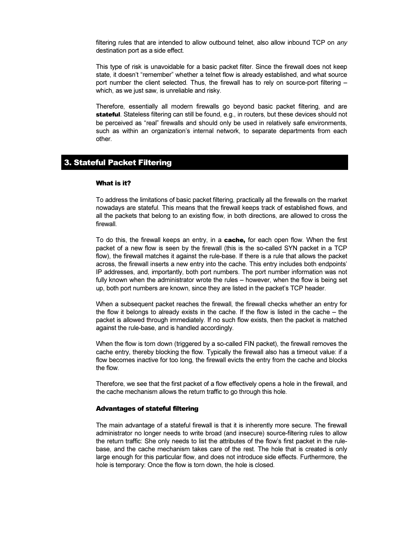filtering rules that are intended to allow outbound telnet, also allow inbound TCP on any destination port as a side effect.

This type of risk is unavoidable for a basic packet filter. Since the firewall does not keep state, it doesn't "remember" whether a telnet flow is already established, and what source port number the client selected. Thus, the firewall has to rely on source-port filtering – which, as we just saw, is unreliable and risky.

Therefore, essentially all modern firewalls go beyond basic packet filtering, and are stateful. Stateless filtering can still be found, e.g., in routers, but these devices should not be perceived as "real" firewalls and should only be used in relatively safe environments, such as within an organization's internal network, to separate departments from each other.

# 3. Stateful Packet Filtering

#### What is it?

To address the limitations of basic packet filtering, practically all the firewalls on the market nowadays are stateful. This means that the firewall keeps track of established flows, and all the packets that belong to an existing flow, in both directions, are allowed to cross the firewall.

To do this, the firewall keeps an entry, in a **cache,** for each open flow. When the first packet of a new flow is seen by the firewall (this is the so-called SYN packet in a TCP flow), the firewall matches it against the rule-base. If there is a rule that allows the packet across, the firewall inserts a new entry into the cache. This entry includes both endpoints' IP addresses, and, importantly, both port numbers. The port number information was not fully known when the administrator wrote the rules – however, when the flow is being set up, both port numbers are known, since they are listed in the packet's TCP header.

When a subsequent packet reaches the firewall, the firewall checks whether an entry for the flow it belongs to already exists in the cache. If the flow is listed in the cache  $-$  the packet is allowed through immediately. If no such flow exists, then the packet is matched against the rule-base, and is handled accordingly.

When the flow is torn down (triggered by a so-called FIN packet), the firewall removes the cache entry, thereby blocking the flow. Typically the firewall also has a timeout value: if a flow becomes inactive for too long, the firewall evicts the entry from the cache and blocks the flow.

Therefore, we see that the first packet of a flow effectively opens a hole in the firewall, and the cache mechanism allows the return traffic to go through this hole.

#### Advantages of stateful filtering

The main advantage of a stateful firewall is that it is inherently more secure. The firewall administrator no longer needs to write broad (and insecure) source-filtering rules to allow the return traffic: She only needs to list the attributes of the flow's first packet in the rulebase, and the cache mechanism takes care of the rest. The hole that is created is only large enough for this particular flow, and does not introduce side effects. Furthermore, the hole is temporary: Once the flow is torn down, the hole is closed.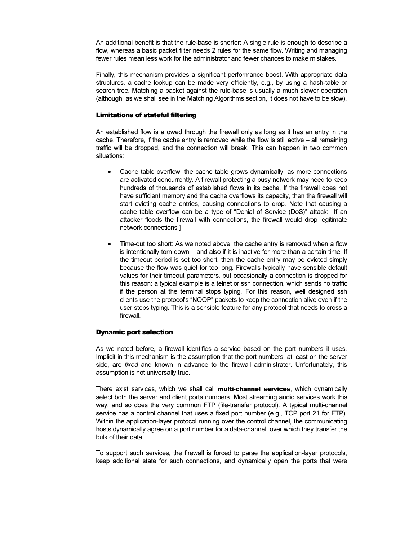An additional benefit is that the rule-base is shorter: A single rule is enough to describe a flow, whereas a basic packet filter needs 2 rules for the same flow. Writing and managing fewer rules mean less work for the administrator and fewer chances to make mistakes.

Finally, this mechanism provides a significant performance boost. With appropriate data structures, a cache lookup can be made very efficiently, e.g., by using a hash-table or search tree. Matching a packet against the rule-base is usually a much slower operation (although, as we shall see in the Matching Algorithms section, it does not have to be slow).

#### Limitations of stateful filtering

An established flow is allowed through the firewall only as long as it has an entry in the cache. Therefore, if the cache entry is removed while the flow is still active – all remaining traffic will be dropped, and the connection will break. This can happen in two common situations:

- Cache table overflow: the cache table grows dynamically, as more connections are activated concurrently. A firewall protecting a busy network may need to keep hundreds of thousands of established flows in its cache. If the firewall does not have sufficient memory and the cache overflows its capacity, then the firewall will start evicting cache entries, causing connections to drop. Note that causing a cache table overflow can be a type of "Denial of Service (DoS)" attack: If an attacker floods the firewall with connections, the firewall would drop legitimate network connections. ]
- Time-out too short: As we noted above, the cache entry is removed when a flow is intentionally torn down  $-$  and also if it is inactive for more than a certain time. If the timeout period is set too short, then the cache entry may be evicted simply because the flow was quiet for too long. Firewalls typically have sensible default values for their timeout parameters, but occasionally a connection is dropped for this reason: a typical example is a telnet or ssh connection, which sends no traffic if the person at the terminal stops typing. For this reason, well designed ssh clients use the protocol's "NOOP" packets to keep the connection alive even if the user stops typing. This is a sensible feature for any protocol that needs to cross a firewall.

### Dynamic port selection

As we noted before, a firewall identifies a service based on the port numbers it uses. Implicit in this mechanism is the assumption that the port numbers, at least on the server side, are fixed and known in advance to the firewall administrator. Unfortunately, this assumption is not universally true.

There exist services, which we shall call **multi-channel services**, which dynamically select both the server and client ports numbers. Most streaming audio services work this way, and so does the very common FTP (file-transfer protocol). A typical multi-channel service has a control channel that uses a fixed port number (e.g., TCP port 21 for FTP). Within the application-layer protocol running over the control channel, the communicating hosts dynamically agree on a port number for a data-channel, over which they transfer the bulk of their data.

To support such services, the firewall is forced to parse the application-layer protocols, keep additional state for such connections, and dynamically open the ports that were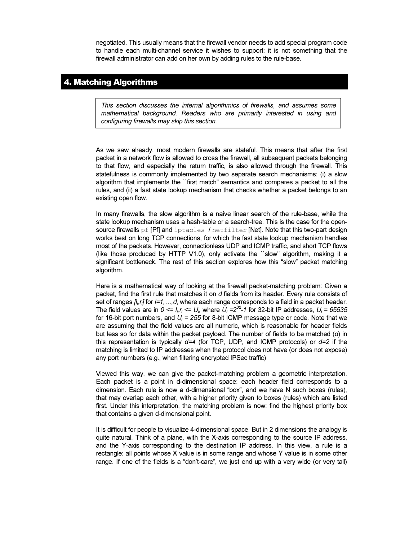negotiated. This usually means that the firewall vendor needs to add special program code to handle each multi-channel service it wishes to support: it is not something that the firewall administrator can add on her own by adding rules to the rule-base.

# 4. Matching Algorithms

This section discusses the internal algorithmics of firewalls, and assumes some mathematical background. Readers who are primarily interested in using and configuring firewalls may skip this section.

As we saw already, most modern firewalls are stateful. This means that after the first packet in a network flow is allowed to cross the firewall, all subsequent packets belonging to that flow, and especially the return traffic, is also allowed through the firewall. This statefulness is commonly implemented by two separate search mechanisms: (i) a slow algorithm that implements the ` `first match' ' semantics and compares a packet to all the rules, and (ii) a fast state lookup mechanism that checks whether a packet belongs to an existing open flow.

In many firewalls, the slow algorithm is a naive linear search of the rule-base, while the state lookup mechanism uses a hash-table or a search-tree. This is the case for the opensource firewalls pf  $[PI]$  and iptables / netfilter  $[Net]$ . Note that this two-part design works best on long TCP connections, for which the fast state lookup mechanism handles most of the packets. However, connectionless UDP and ICMP traffic, and short TCP flows (like those produced by HTTP  $V1.0$ ), only activate the "slow" algorithm, making it a significant bottleneck. The rest of this section explores how this "slow" packet matching algorithm.

Here is a mathematical way of looking at the firewall packet-matching problem: Given a packet, find the first rule that matches it on d fields from its header. Every rule consists of set of ranges [ $l_{b}$ r] for i=1,…,d, where each range corresponds to a field in a packet header. The field values are in  $0 \leq I_{i} r_{i} \leq U_{i}$ , where  $U_{i} = 2^{32}$ -1 for 32-bit IP addresses,  $U_{i} = 65535$ for 16-bit port numbers, and  $U_i = 255$  for 8-bit ICMP message type or code. Note that we are assuming that the field values are all numeric, which is reasonable for header fields but less so for data within the packet payload. The number of fields to be matched (d) in this representation is typically  $d=4$  (for TCP, UDP, and ICMP protocols) or  $d=2$  if the matching is limited to IP addresses when the protocol does not have (or does not expose) any port numbers (e.g., when filtering encrypted IPSec traffic)

Viewed this way, we can give the packet-matching problem a geometric interpretation. Each packet is a point in d-dimensional space: each header field corresponds to a dimension. Each rule is now a d-dimensional "box", and we have N such boxes (rules), that may overlap each other, with a higher priority given to boxes (rules) which are listed first. Under this interpretation, the matching problem is now: find the highest priority box that contains a given d-dimensional point.

It is difficult for people to visualize 4-dimensional space. But in 2 dimensions the analogy is quite natural. Think of a plane, with the X-axis corresponding to the source IP address, and the Y-axis corresponding to the destination IP address. In this view, a rule is a rectangle: all points whose X value is in some range and whose Y value is in some other range. If one of the fields is a "don't-care", we just end up with a very wide (or very tall)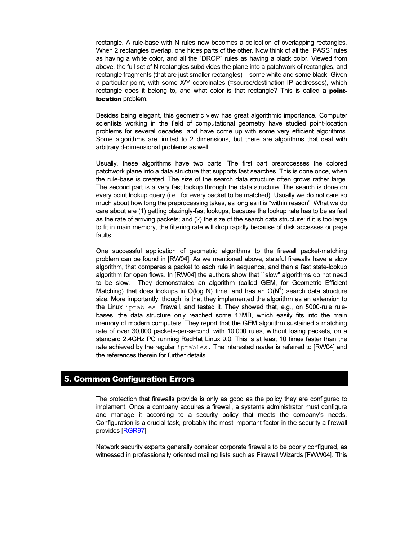rectangle. A rule-base with N rules now becomes a collection of overlapping rectangles. When 2 rectangles overlap, one hides parts of the other. Now think of all the "PASS" rules as having a white color, and all the "DROP" rules as having a black color. Viewed from above, the full set of N rectangles subdivides the plane into a patchwork of rectangles, and rectangle fragments (that are just smaller rectangles) – some white and some black. Given a particular point, with some X/Y coordinates (=source/destination IP addresses), which rectangle does it belong to, and what color is that rectangle? This is called a pointlocation problem.

Besides being elegant, this geometric view has great algorithmic importance. Computer scientists working in the field of computational geometry have studied point-location problems for several decades, and have come up with some very efficient algorithms. Some algorithms are limited to 2 dimensions, but there are algorithms that deal with arbitrary d-dimensional problems as well.

Usually, these algorithms have two parts: The first part preprocesses the colored patchwork plane into a data structure that supports fast searches. This is done once, when the rule-base is created. The size of the search data structure often grows rather large. The second part is a very fast lookup through the data structure. The search is done on every point lookup query (i.e., for every packet to be matched). Usually we do not care so much about how long the preprocessing takes, as long as it is "within reason". What we do care about are (1) getting blazingly-fast lookups, because the lookup rate has to be as fast as the rate of arriving packets; and (2) the size of the search data structure: if it is too large to fit in main memory, the filtering rate will drop rapidly because of disk accesses or page faults

One successful application of geometric algorithms to the firewall packet-matching problem can be found in [RW04]. As we mentioned above, stateful firewalls have a slow algorithm, that compares a packet to each rule in sequence, and then a fast state-lookup algorithm for open flows. In [RW04] the authors show that "slow" algorithms do not need to be slow. They demonstrated an algorithm (called GEM, for Geometric Efficient Matching) that does lookups in O(log N) time, and has an O(N<sup>4</sup>) search data structure size. More importantly, though, is that they implemented the algorithm as an extension to the Linux iptables firewall, and tested it. They showed that, e.g., on 5000-rule rulebases, the data structure only reached some 13MB, which easily fits into the main memory of modern computers. They report that the GEM algorithm sustained a matching rate of over 30,000 packets-per-second, with 10,000 rules, without losing packets, on a standard 2.4GHz PC running RedHat Linux 9.0. This is at least 10 times faster than the rate achieved by the regular  $iptables$ . The interested reader is referred to [RW04] and the references therein for further details.

# 5. Common Configuration Errors

The protection that firewalls provide is only as good as the policy they are configured to implement. Once a company acquires a firewall, a systems administrator must configure and manage it according to a security policy that meets the company's needs. Configuration is a crucial task, probably the most important factor in the security a firewall provides [RGR97].

Network security experts generally consider corporate firewalls to be poorly configured, as witnessed in professionally oriented mailing lists such as Firewall Wizards [FWW04]. This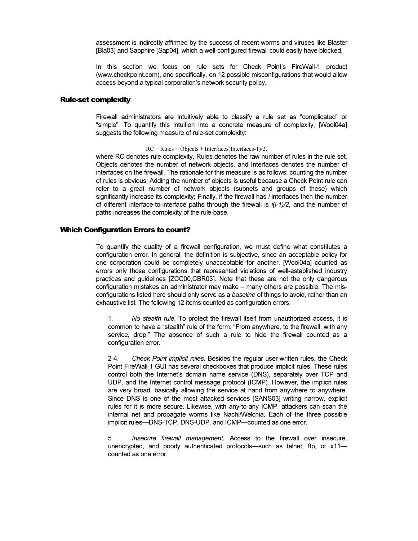assessment is indirectly affirmed by the success of recent worms and viruses like Blaster [Bla03] and Sapphire [Sap04], which a well-configured firewall could easily have blocked.

In this section we focus on rule sets for Check Point's FireWall-1 product (www.checkpoint.com), and specifically, on 12 possible misconfigurations that would allow access beyond a typical corporation's network security policy.

### Rule-set complexity

Firewall administrators are intuitively able to classify a rule set as "complicated" or "simple". To quantify this intuition into a concrete measure of complexity, [Wool04a] suggests the following measure of rule-set complexity:

 $RC = Rules + Objects + Interfaces(Interfaces-1)/2,$ 

where RC denotes rule complexity, Rules denotes the raw number of rules in the rule set, Objects denotes the number of network objects, and I nterfaces denotes the number of interfaces on the firewall. The rationale for this measure is as follows: counting the number of rules is obvious; Adding the number of objects is useful because a Check Point rule can refer to a great number of network objects (subnets and groups of these) which significantly increase its complexity: Finally, if the firewall has *i* interfaces then the number of different interface-to-interface paths through the firewall is  $i(i-1)/2$ , and the number of paths increases the complexity of the rule-base.

### Which Configuration Errors to count?

To quantify the quality of a firewall configuration, we must define what constitutes a configuration error. In general, the definition is subjective, since an acceptable policy for one corporation could be completely unacceptable for another. [Wool04a] counted as errors only those configurations that represented violations of well-established industry practices and guidelines [ZCC00, CBR03]. Note that these are not the only dangerous configuration mistakes an administrator may make – many others are possible. The misconfigurations listed here should only serve as a baseline of things to avoid, rather than an exhaustive list. The following 12 items counted as configuration errors:

1. No stealth rule. To protect the firewall itself from unauthorized access, it is common to have a "stealth" rule of the form: "From anywhere, to the firewall, with any service, drop." The absence of such a rule to hide the firewall counted as a configuration error.

2-4. Check Point implicit rules. Besides the regular user-written rules, the Check Point FireWall-1 GUI has several checkboxes that produce implicit rules. These rules control both the Internet's domain name service (DNS), separately over TCP and UDP, and the Internet control message protocol (ICMP). However, the implicit rules are very broad, basically allowing the service at hand from anywhere to anywhere. Since DNS is one of the most attacked services [SANS03] writing narrow, explicit rules for it is more secure. Likewise, with any-to-any I CMP, attackers can scan the internal net and propagate worms like Nachi/Welchia. Each of the three possible implicit rules—DNS-TCP, DNS-UDP, and ICMP—counted as one error.

5. Insecure firewall management. Access to the firewall over insecure, unencrypted, and poorly authenticated protocols—such as telnet, ftp, or x11 counted as one error.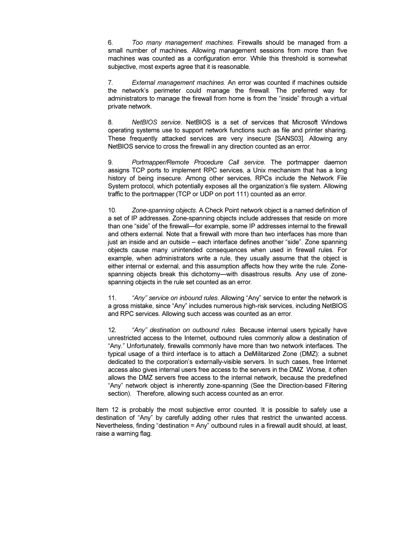6. Too many management machines. Firewalls should be managed from a small number of machines. Allowing management sessions from more than five machines was counted as a configuration error. While this threshold is somewhat subjective, most experts agree that it is reasonable.

7. External management machines. An error was counted if machines outside the network's perimeter could manage the firewall. The preferred way for administrators to manage the firewall from home is from the "inside" through a virtual private network.

8. NetBIOS service. NetBIOS is a set of services that Microsoft Windows operating systems use to support network functions such as file and printer sharing. These frequently attacked services are very insecure [SANS03]. Allowing any NetBIOS service to cross the firewall in any direction counted as an error.

9. Portmapper/Remote Procedure Call service. The portmapper daemon assigns TCP ports to implement RPC services, a Unix mechanism that has a long history of being insecure. Among other services, RPCs include the Network File System protocol, which potentially exposes all the organization's file system. Allowing traffic to the portmapper (TCP or UDP on port 111) counted as an error.

10. Zone-spanning objects. A Check Point network object is a named definition of a set of IP addresses. Zone-spanning objects include addresses that reside on more than one "side" of the firewall—for example, some IP addresses internal to the firewall and others external. Note that a firewall with more than two interfaces has more than just an inside and an outside – each interface defines another "side". Zone spanning objects cause many unintended consequences when used in firewall rules. For example, when administrators write a rule, they usually assume that the object is either internal or external, and this assumption affects how they write the rule. Zonespanning objects break this dichotomy—with disastrous results. Any use of zonespanning objects in the rule set counted as an error.

11. "Any" service on inbound rules. Allowing "Any" service to enter the network is a gross mistake, since "Any" includes numerous high-risk services, including NetBIOS and RPC services. Allowing such access was counted as an error.

12.  $\frac{a}{2}$  "Any" destination on outbound rules. Because internal users typically have unrestricted access to the Internet, outbound rules commonly allow a destination of "Any." Unfortunately, firewalls commonly have more than two network interfaces. The typical usage of a third interface is to attach a DeMilitarized Zone (DMZ): a subnet dedicated to the corporation's externally-visible servers. In such cases, free Internet access also gives internal users free access to the servers in the DMZ Worse, it often allows the DMZ servers free access to the internal network, because the predefined "Any" network object is inherently zone-spanning (See the Direction-based Filtering section). Therefore, allowing such access counted as an error.

Item 12 is probably the most subjective error counted. It is possible to safely use a destination of "Any" by carefully adding other rules that restrict the unwanted access. Nevertheless, finding "destination = Any" outbound rules in a firewall audit should, at least, raise a warning flag.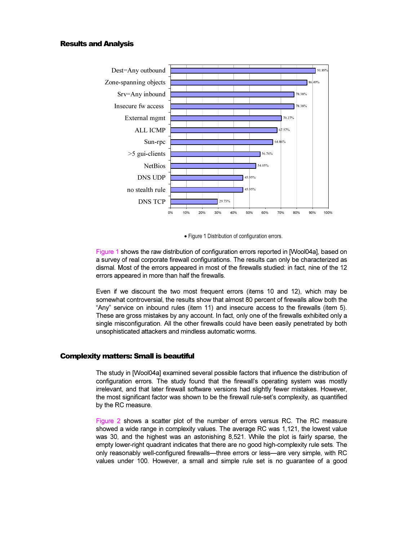### Results and Analysis



• Figure 1 Distribution of configuration errors.

Figure 1 shows the raw distribution of configuration errors reported in [Wool04a], based on a survey of real corporate firewall configurations. The results can only be characterized as dismal. Most of the errors appeared in most of the firewalls studied: in fact, nine of the 12 errors appeared in more than half the firewalls.

Even if we discount the two most frequent errors (items 10 and 12), which may be somewhat controversial, the results show that almost 80 percent of firewalls allow both the "Any" service on inbound rules (item 11) and insecure access to the firewalls (item 5). These are gross mistakes by any account. In fact, only one of the firewalls exhibited only a single misconfiguration. All the other firewalls could have been easily penetrated by both un sophisticated attackers and mindless automatic worms.

#### Complexity matters: Small is beautiful

The study in [Wool04a] examined several possible factors that influence the distribution of configuration errors. The study found that the firewall's operating system was mostly irrelevant, and that later firewall software versions had slightly fewer mistakes. However, the most significant factor was shown to be the firewall rule-set's complexity, as quantified by the RC measure.

Figure 2 shows a scatter plot of the number of errors versus RC. The RC measure showed a wide range in complexity values. The average RC was 1,121, the lowest value was 30, and the highest was an astonishing 8,521. While the plot is fairly sparse, the empty lower-right quadrant indicates that there are no good high-complexity rule sets. The only reasonably well-configured firewalls—three errors or less—are very simple, with RC values under 100. However, a small and simple rule set is no guarantee of a good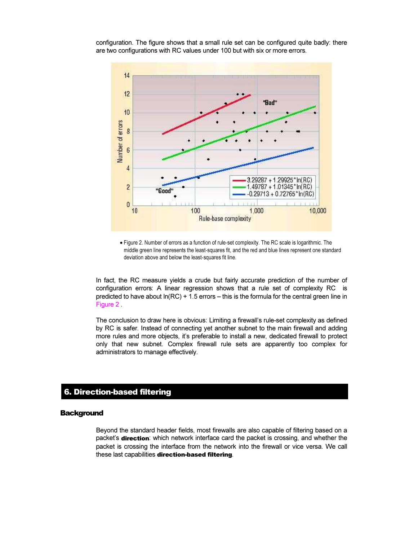configuration. The figure shows that a small rule set can be configured quite badly: there are two configurations with RC values under 1 00 but with six or more errors.



• Figure 2. Number of errors as a function of rule-set complexity. The RC scale is logarithmic. The middle green line represents the least-squares fit, and the red and blue lines represent one standard deviation above and below the least-squares fit line.

In fact, the RC measure yields a crude but fairly accurate prediction of the number of configuration errors: A linear regression shows that a rule set of complexity RC is predicted to have about  $ln(RC) + 1.5$  errors – this is the formula for the central green line in Figure 2 .

The conclusion to draw here is obvious: Limiting a firewall's rule-set complexity as defined by RC is safer. Instead of connecting yet another subnet to the main firewall and adding more rules and more objects, it's preferable to install a new, dedicated firewall to protect only that new subnet. Complex firewall rule sets are apparently too complex for administrators to manage effectively.

# 6. Direction-based filtering

## **Background**

Beyond the standard header fields, most firewalls are also capable of filtering based on a packet's **direction**: which network interface card the packet is crossing, and whether the packet is crossing the interface from the network into the firewall or vice versa. We call these last capabilities direction-based filtering.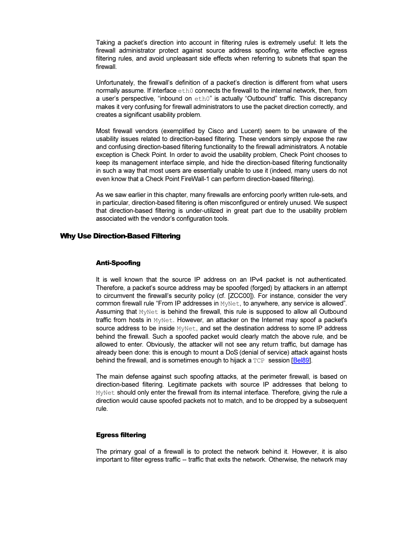Taking a packet's direction into account in filtering rules is extremely useful: It lets the firewall administrator protect against source address spoofing, write effective egress filtering rules, and avoid unpleasant side effects when referring to subnets that span the firewall.

Unfortunately, the firewall's definition of a packet's direction is different from what users normally assume. If interface  $e$ th0 connects the firewall to the internal network, then, from a user's perspective, "inbound on  $e$ th0" is actually "Outbound" traffic. This discrepancy makes it very confusing for firewall administrators to use the packet direction correctly, and creates a significant usability problem.

Most firewall vendors (exemplified by Cisco and Lucent) seem to be unaware of the usability issues related to direction-based filtering. These vendors simply expose the raw and confusing direction-based filtering functionality to the firewall administrators. A notable exception is Check Point. In order to avoid the usability problem, Check Point chooses to keep its management interface simple, and hide the direction-based filtering functionality in such a way that most users are essentially unable to use it (indeed, many users do not even know that a Check Point FireWall-1 can perform direction-based filtering).

As we saw earlier in this chapter, many firewalls are enforcing poorly written rule-sets, and in particular, direction-based filtering is often misconfigured or entirely unused. We suspect that direction-based filtering is under-utilized in great part due to the usability problem associated with the vendor's configuration tools.

### Why Use Direction-Based Filtering

#### Anti-Spoofing

It is well known that the source IP address on an IPv4 packet is not authenticated. Therefore, a packet's source address may be spoofed (forged) by attackers in an attempt to circumvent the firewall's security policy (cf. [ZCC00]). For instance, consider the very common firewall rule "From IP addresses in MyNet, to anywhere, any service is allowed". Assuming that  $MyNet$  is behind the firewall, this rule is supposed to allow all Outbound traffic from hosts in MyNet. However, an attacker on the Internet may spoof a packet's source address to be inside  $MvNet$ , and set the destination address to some IP address behind the firewall. Such a spoofed packet would clearly match the above rule, and be allowed to enter. Obviously, the attacker will not see any return traffic, but damage has already been done: this is enough to mount a DoS (denial of service) attack against hosts behind the firewall, and is sometimes enough to hijack a TCP session [Bel89].

The main defense against such spoofing attacks, at the perimeter firewall, is based on direction-based filtering. Legitimate packets with source IP addresses that belong to MyNet should only enter the firewall from its internal interface. Therefore, giving the rule a direction would cause spoofed packets not to match, and to be dropped by a subsequent rule.

#### Egress filtering

The primary goal of a firewall is to protect the network behind it. However, it is also important to filter egress traffic -- traffic that exits the network. Otherwise, the network may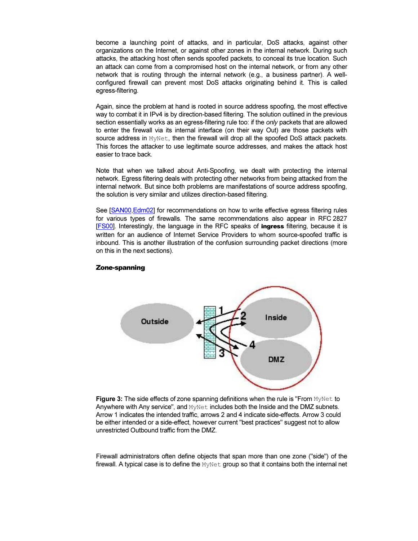become a launching point of attacks, and in particular, DoS attacks, against other organizations on the Internet, or against other zones in the internal network. During such attacks, the attacking host often sends spoofed packets, to conceal its true location. Such an attack can come from a compromised host on the internal network, or from any other network that is routing through the internal network (e.g., a business partner). A wellconfigured firewall can prevent most DoS attacks originating behind it. This is called egress-filtering.

Again, since the problem at hand is rooted in source address spoofing, the most effective way to combat it in IPv4 is by direction-based filtering. The solution outlined in the previous section essentially works as an egress-filtering rule too: if the *only* packets that are allowed to enter the firewall via its internal interface (on their way Out) are those packets with source address in MyNet, then the firewall will drop all the spoofed DoS attack packets. This forces the attacker to use legitimate source addresses, and makes the attack host easier to trace back.

Note that when we talked about Anti-Spoofing, we dealt with protecting the internal network. Egress filtering deals with protecting other networks from being attacked from the internal network. But since both problems are manifestations of source address spoofing, the solution is very similar and utilizes direction-based filtering.

See [SAN00, Edm02] for recommendations on how to write effective egress filtering rules for various types of firewalls. The same recommendations also appear in RFC 2827 [FS00]. Interestingly, the language in the RFC speaks of **ingress** filtering, because it is written for an audience of Internet Service Providers to whom source-spoofed traffic is inbound. This is another illustration of the confusion surrounding packet directions (more on this in the next sections).

#### Zone-spanning



Figure 3: The side effects of zone spanning definitions when the rule is "From MyNet to Anywhere with Any service", and  $MvNet$  includes both the Inside and the DMZ subnets. Arrow 1 indicates the intended traffic, arrows 2 and 4 indicate side-effects. Arrow 3 could be either intended or a side-effect, however current "best practices" suggest not to allow unrestricted Outbound traffic from the DMZ.

Firewall administrators often define objects that span more than one zone ("side") of the firewall. A typical case is to define the  $M_VNet$  group so that it contains both the internal net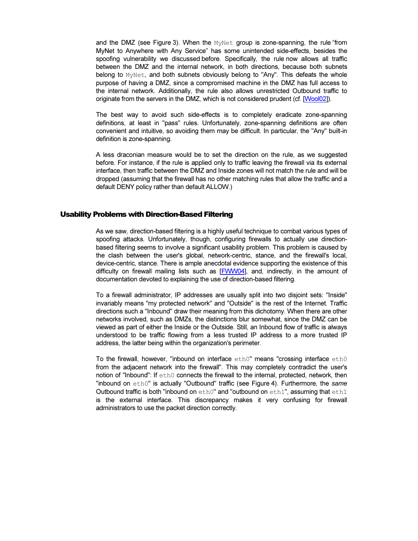and the DMZ (see Figure 3). When the  $MyNet$  group is zone-spanning, the rule "from MyNet to Anywhere with Any Service" has some unintended side-effects, besides the spoofing vulnerability we discussed before. Specifically, the rule now allows all traffic between the DMZ and the internal network, in both directions, because both subnets belong to MyNet, and both subnets obviously belong to "Any". This defeats the whole purpose of having a DMZ, since a compromised machine in the DMZ has full access to the internal network. Additionally, the rule also allows unrestricted Outbound traffic to originate from the servers in the DMZ, which is not considered prudent (cf. [Wool02]).

The best way to avoid such side-effects is to completely eradicate zone-spanning definitions, at least in "pass" rules. Unfortunately, zone-spanning definitions are often convenient and intuitive, so avoiding them may be difficult. In particular, the "Any" built-in definition is zone-spanning.

A less draconian measure would be to set the direction on the rule, as we suggested before. For instance, if the rule is applied only to traffic leaving the firewall via its external interface, then traffic between the DMZ and Inside zones will not match the rule and will be dropped (assuming that the firewall has no other matching rules that allow the traffic and a default DENY policy rather than default ALLOW.)

### Usability Problems with Direction-Based Filtering

As we saw, direction-based filtering is a highly useful technique to combat various types of spoofing attacks. Unfortunately, though, configuring firewalls to actually use directionbased filtering seems to involve a significant usability problem. This problem is caused by the clash between the user's global, network-centric, stance, and the firewall's local, device-centric, stance. There is ample anecdotal evidence supporting the existence of this difficulty on firewall mailing lists such as [FWW04], and, indirectly, in the amount of documentation devoted to explaining the use of direction-based filtering.

To a firewall administrator, IP addresses are usually split into two disjoint sets: "Inside" invariably means "my protected network" and "Outside" is the rest of the Internet. Traffic directions such a "Inbound" draw their meaning from this dichotomy. When there are other networks involved, such as DMZs, the distinctions blur somewhat, since the DMZ can be viewed as part of either the Inside or the Outside. Still, an Inbound flow of traffic is always understood to be traffic flowing from a less trusted IP address to a more trusted IP address, the latter being within the organization's perimeter.

To the firewall, however, "inbound on interface  $e$ th0" means "crossing interface  $e$ th0 from the adjacent network into the firewall". This may completely contradict the user's notion of "Inbound": If eth0 connects the firewall to the internal, protected, network, then "inbound on eth0" is actually "Outbound" traffic (see Figure 4). Furthermore, the same Outbound traffic is both "inbound on  $e$ th0" and "outbound on  $e$ th1", assuming that  $e$ th1 is the external interface. This discrepancy makes it very confusing for firewall administrators to use the packet direction correctly.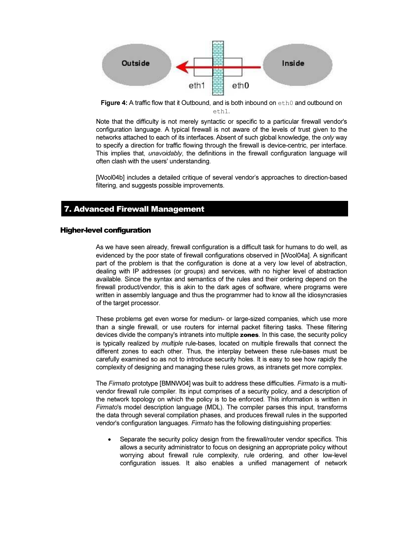

Figure 4: A traffic flow that it Outbound, and is both inbound on  $\text{eth}$  and outbound on eth1.

Note that the difficulty is not merely syntactic or specific to a particular firewall vendor's configuration language. A typical firewall is not aware of the levels of trust given to the networks attached to each of its interfaces. Absent of such global knowledge, the only way to specify a direction for traffic flowing through the firewall is device-centric, per interface. This implies that, *unavoidably*, the definitions in the firewall configuration language will often clash with the users' understanding.

[Wool04b] includes a detailed critique of several vendor's approaches to direction-based filtering, and suggests possible improvements.

# 7. Advanced Firewall Management

#### Higher-level configuration

As we have seen already, firewall configuration is a difficult task for humans to do well, as evidenced by the poor state of firewall configurations observed in [Wool04a]. A significant part of the problem is that the configuration is done at a very low level of abstraction, dealing with IP addresses (or groups) and services, with no higher level of abstraction available. Since the syntax and semantics of the rules and their ordering depend on the firewall product/vendor, this is akin to the dark ages of software, where programs were written in assembly language and thus the programmer had to know all the idiosyncrasies of the target processor.

These problems get even worse for medium- or large-sized companies, which use more than a single firewall, or use routers for internal packet filtering tasks. These filtering devices divide the company's intranets into multiple zones. In this case, the security policy is typically realized by *multiple* rule-bases, located on multiple firewalls that connect the different zones to each other. Thus, the interplay between these rule-bases must be carefully examined so as not to introduce security holes. It is easy to see how rapidly the complexity of designing and managing these rules grows, as intranets get more complex.

The Firmato prototype [BMNW04] was built to address these difficulties. Firmato is a multivendor firewall rule compiler. Its input comprises of a security policy, and a description of the network topology on which the policy is to be enforced. This information is written in Firmato's model description language (MDL). The compiler parses this input, transforms the data through several compilation phases, and produces firewall rules in the supported vendor's configuration languages. Firmato has the following distinguishing properties:

Separate the security policy design from the firewall/router vendor specifics. This allows a security administrator to focus on designing an appropriate policy without worrying about firewall rule complexity, rule ordering, and other low-level configuration issues. It also enables a unified management of network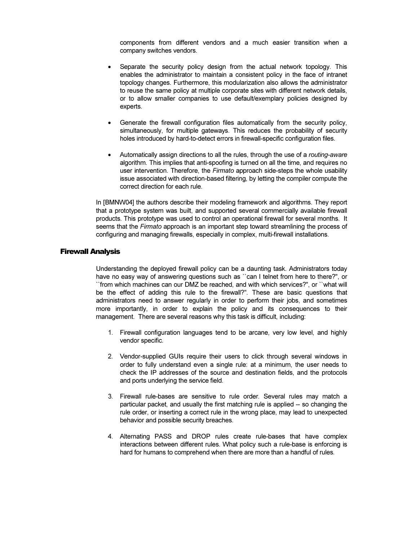components from different vendors and a much easier transition when a company switches vendors.

- Separate the security policy design from the actual network topology. This enables the administrator to maintain a consistent policy in the face of intranet topology changes. Furthermore, this modularization also allows the administrator to reuse the same policy at multiple corporate sites with different network details, or to allow smaller companies to use default/exemplary policies designed by experts.
- Generate the firewall configuration files automatically from the security policy, simultaneously, for multiple gateways. This reduces the probability of security holes introduced by hard-to-detect errors in firewall-specific configuration files.
- Automatically assign directions to all the rules, through the use of a routing-aware algorithm. This implies that anti-spoofing is turned on all the time, and requires no user intervention. Therefore, the Firmato approach side-steps the whole usability issue associated with direction-based filtering, by letting the compiler compute the correct direction for each rule.

In [BMNW04] the authors describe their modeling framework and algorithms. They report that a prototype system was built, and supported several commercially available firewall products. This prototype was used to control an operational firewall for several months. It seems that the *Firmato* approach is an important step toward streamlining the process of configuring and managing firewalls, especially in complex, multi-firewall installations.

## Firewall Analysis

Understanding the deployed firewall policy can be a daunting task. Administrators today have no easy way of answering questions such as "can I telnet from here to there?", or ``from which machines can our DMZ be reached, and with which services?", or ``what will be the effect of adding this rule to the firewall?". These are basic questions that administrators need to answer regularly in order to perform their jobs, and sometimes more importantly, in order to explain the policy and its consequences to their management. There are several reasons why this task is difficult, including:

- 1. Firewall configuration languages tend to be arcane, very low level, and highly vendor specific.
- 2. Vendor-supplied GUIs require their users to click through several windows in order to fully understand even a single rule: at a minimum, the user needs to check the IP addresses of the source and destination fields, and the protocols and ports underlying the service field.
- 3. Firewall rule-bases are sensitive to rule order. Several rules may match a particular packet, and usually the first matching rule is applied -- so changing the rule order, or inserting a correct rule in the wrong place, may lead to unexpected behavior and possible security breaches.
- 4. Alternating PASS and DROP rules create rule-bases that have complex interactions between different rules. What policy such a rule-base is enforcing is hard for humans to comprehend when there are more than a handful of rules.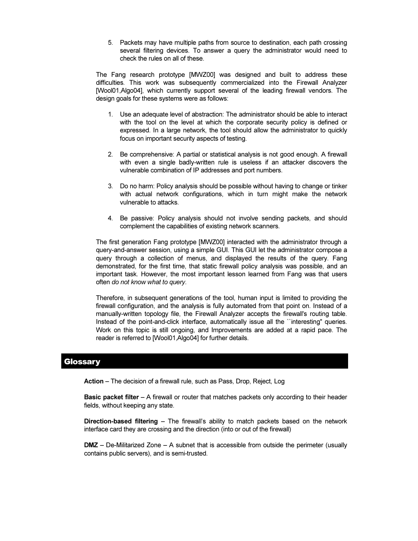5. Packets may have multiple paths from source to destination, each path crossing several filtering devices. To answer a query the administrator would need to check the rules on all of these.

The Fang research prototype [MWZ00] was designed and built to address these difficulties. This work was subsequently commercialized into the Firewall Analyzer [Wool01,Algo04], which currently support several of the leading firewall vendors. The design goals for these systems were as follows:

- 1. Use an adequate level of abstraction: The administrator should be able to interact with the tool on the level at which the corporate security policy is defined or expressed. In a large network, the tool should allow the administrator to quickly focus on important security aspects of testing.
- 2. Be comprehensive: A partial or statistical analysis is not good enough. A firewall with even a single badly-written rule is useless if an attacker discovers the vulnerable combination of IP addresses and port numbers.
- 3. Do no harm: Policy analysis should be possible without having to change or tinker with actual network configurations, which in turn might make the network vulnerable to attacks.
- 4. Be passive: Policy analysis should not involve sending packets, and should complement the capabilities of existing network scanners.

The first generation Fang prototype [MWZ00] interacted with the administrator through a query-and-answer session, using a simple GUI. This GUI let the administrator compose a query through a collection of menus, and displayed the results of the query. Fang demonstrated, for the first time, that static firewall policy analysis was possible, and an important task. However, the most important lesson learned from Fang was that users often do not know what to query.

Therefore, in subsequent generations of the tool, human input is limited to providing the firewall configuration, and the analysis is fully automated from that point on. Instead of a manually-written topology file, the Firewall Analyzer accepts the firewall's routing table. Instead of the point-and-click interface, automatically issue all the "interesting" queries. Work on this topic is still ongoing, and Improvements are added at a rapid pace. The reader is referred to [Wool01, Algo04] for further details.

## **Glossarv**

Action – The decision of a firewall rule, such as Pass, Drop, Reject, Log

Basic packet filter  $- A$  firewall or router that matches packets only according to their header fields, without keeping any state.

Direction-based filtering  $-$  The firewall's ability to match packets based on the network interface card they are crossing and the direction (into or out of the firewall)

 $DMZ - De-Militarized Zone - A$  subnet that is accessible from outside the perimeter (usually contains public servers), and is semi-trusted.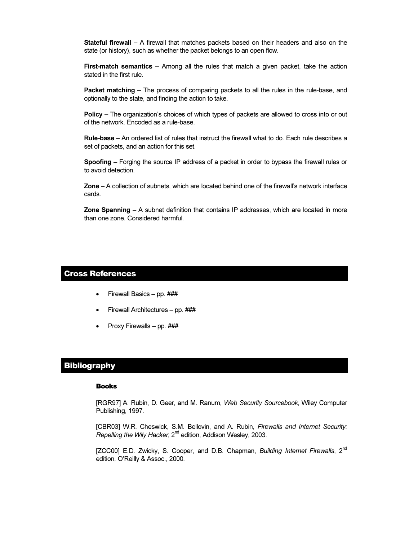**Stateful firewall** – A firewall that matches packets based on their headers and also on the state (or history), such as whether the packet belongs to an open flow.

First-match semantics – Among all the rules that match a given packet, take the action stated in the first rule.

Packet matching – The process of comparing packets to all the rules in the rule-base, and optionally to the state, and finding the action to take.

Policy – The organization's choices of which types of packets are allowed to cross into or out of the network. Encoded as a rule-base.

Rule-base – An ordered list of rules that instruct the firewall what to do. Each rule describes a set of packets, and an action for this set.

Spoofing – Forging the source IP address of a packet in order to bypass the firewall rules or to avoid detection.

 $\text{Zone} - A$  collection of subnets, which are located behind one of the firewall's network interface cards.

Zone Spanning  $- A$  subnet definition that contains IP addresses, which are located in more than one zone. Considered harmful.

# Cross References

- Firewall Basics pp.  $\# \# \#$
- Firewall Architectures pp. ###
- Proxy Firewalls pp.  $\# \# \#$

# **Bibliography**

#### Books

[RGR97] A. Rubin, D. Geer, and M. Ranum, Web Security Sourcebook, Wiley Computer Publishing, 1997.

[CBR03] W.R. Cheswick, S.M. Bellovin, and A. Rubin, Firewalls and Internet Security: Repelling the Wily Hacker, 2<sup>nd</sup> edition, Addison Wesley, 2003.

[ZCC00] E.D. Zwicky, S. Cooper, and D.B. Chapman, Building Internet Firewalls, 2<sup>nd</sup> edition, O'Reilly & Assoc., 2000.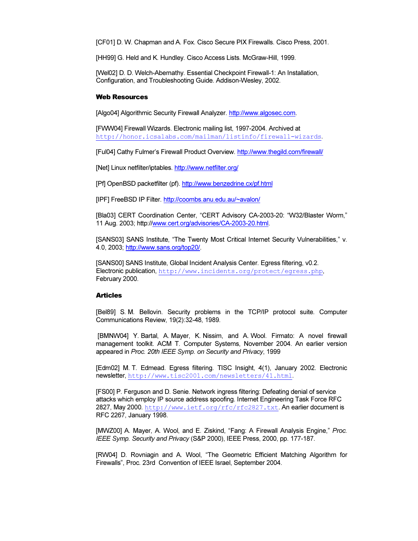[CF01] D. W. Chapman and A. Fox. Cisco Secure PIX Firewalls. Cisco Press, 2001.

[HH99] G. Held and K. Hundley. Cisco Access Lists. McGraw-Hill, 1999.

[Wel02] D. D. Welch-Abernathy. Essential Checkpoint Firewall-1: An Installation, Configuration, and Troubleshooting Guide. Addison-Wesley, 2002.

#### Web Resources

[Algo04] Algorithmic Security Firewall Analyzer. http://www.algosec.com.

[FWW04] Firewall Wizards. Electronic mailing list, 1997-2004. Archived at http://honor.icsalabs.com/mailman/listinfo/firewall-wizards.

[Ful04] Cathy Fulmer's Firewall Product Overview. http://www.thegild.com/firewall/

[Net] Linux netfilter/iptables. http://www.netfilter.org/

[Pf] OpenBSD packetfilter (pf). http://www.benzedrine.cx/pf.html

[IPF] FreeBSD IP Filter. http://coombs.anu.edu.au/~avalon/

[Bla03] CERT Coordination Center, "CERT Advisory CA-2003-20: "W32/Blaster Worm," 11 Aug. 2003; http://www.cert.org/advisories/CA-2003-20.html.

[SANS03] SANS Institute, "The Twenty Most Critical Internet Security Vulnerabilities," v. 4.0, 2003; http://www.sans.org/top20/.

[SAN S00] SANS In stitute, Global Incident Analysis Center. Egress filtering, v0.2. Electronic publication, http://www.incidents.org/protect/egress.php, February 2000.

#### Articles

[Bel89] S. M. Bellovin. Security problems in the TCP/IP protocol suite. Computer Communications Review, 19(2): 32-48, 1989.

[BMNW04] Y. Bartal, A. Mayer, K. Nissim, and A. Wool. Firmato: A novel firewall management toolkit. ACM T. Computer Systems, November 2004. An earlier version appeared in Proc. 20th IEEE Symp. on Security and Privacy, 1999

[Edm02] M. T. Edmead. Egress filtering. TISC Insight, 4(1), January 2002. Electronic newsletter, http://www.tisc2001.com/newsletters/41.html.

[FS00] P. Ferguson and D. Senie. Network ingress filtering: Defeating denial of service attacks which employ IP source address spoofing. Internet Engineering Task Force RFC 2827, May 2000. http://www.ietf.org/rfc/rfc2827.txt. An earlier document is RFC 2267, January 1998.

[MWZ00] A. Mayer, A. Wool, and E. Ziskind, "Fang: A Firewall Analysis Engine," Proc. IEEE Symp. Security and Privacy (S&P 2000), IEEE Press, 2000, pp. 177-187.

[RW04] D. Rovniagin and A. Wool, "The Geometric Efficient Matching Algorithm for Firewalls", Proc. 23rd Convention of IEEE Israel, September 2004.